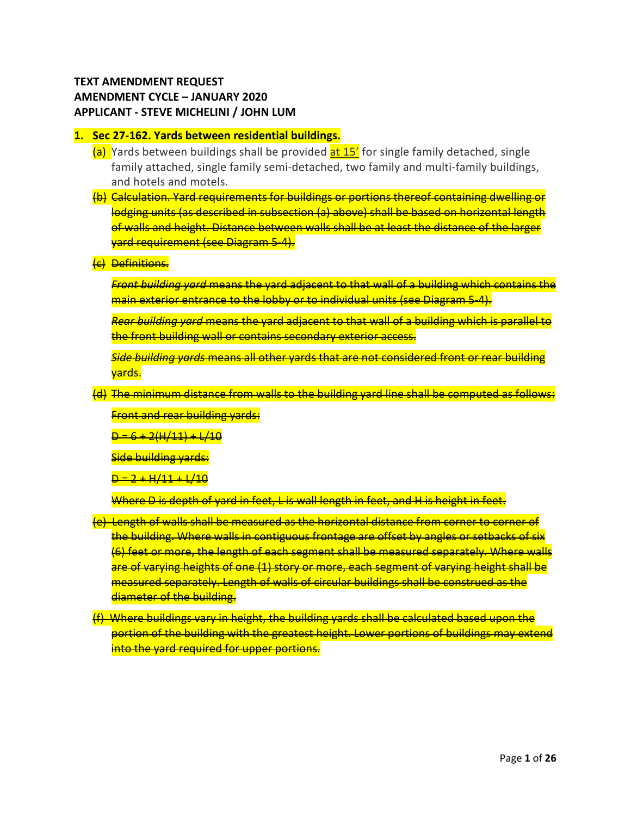## **TEXT AMENDMENT REQUEST AMENDMENT CYCLE – JANUARY 2020 APPLICANT - STEVE MICHELINI / JOHN LUM**

#### **1. Sec 27-162. Yards between residential buildings.**

- (a) Yards between buildings shall be provided at 15' for single family detached, single family attached, single family semi-detached, two family and multi-family buildings, and hotels and motels.
- (b) Calculation. Yard requirements for buildings or portions thereof containing dwelling or lodging units (as described in subsection (a) above) shall be based on horizontal length of walls and height. Distance between walls shall be at least the distance of the larger yard requirement (see Diagram 5-4).
- (c) Definitions.

*Front building yard* means the yard adjacent to that wall of a building which contains the main exterior entrance to the lobby or to individual units (see Diagram 5-4).

*Rear building yard* means the yard adjacent to that wall of a building which is parallel to the front building wall or contains secondary exterior access.

*Side building yards* means all other yards that are not considered front or rear building yards.

(d) The minimum distance from walls to the building yard line shall be computed as follows:

Front and rear building yards:

 $D = 6 + 2(H/11) + L/10$ 

Side building yards:

 $D = 2 + H/11 + L/10$ 

Where D is depth of yard in feet, L is wall length in feet, and H is height in feet.

- (e) Length of walls shall be measured as the horizontal distance from corner to corner of the building. Where walls in contiguous frontage are offset by angles or setbacks of six (6) feet or more, the length of each segment shall be measured separately. Where walls are of varying heights of one (1) story or more, each segment of varying height shall be measured separately. Length of walls of circular buildings shall be construed as the diameter of the building.
- (f) Where buildings vary in height, the building yards shall be calculated based upon the portion of the building with the greatest height. Lower portions of buildings may extend into the yard required for upper portions.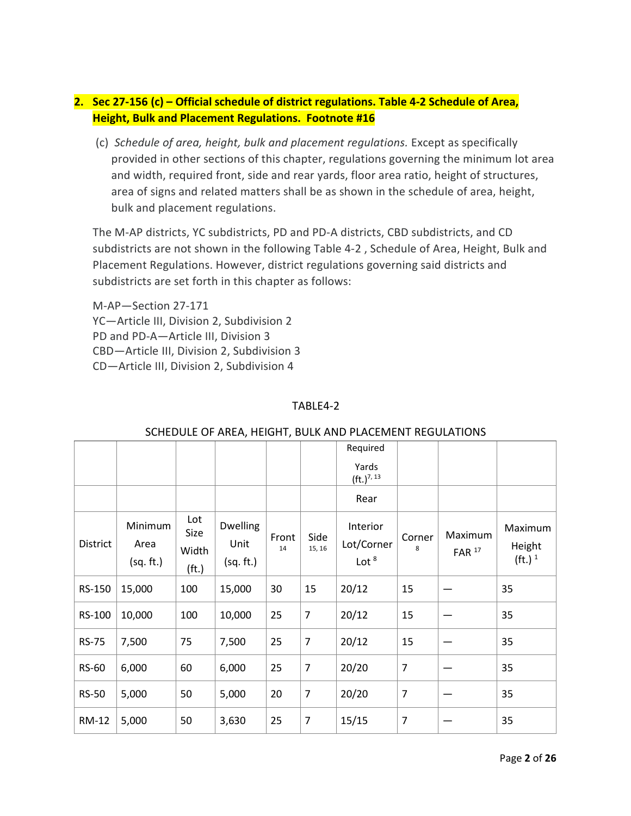# **2. Sec 27-156 (c) – Official schedule of district regulations. Table 4-2 Schedule of Area, Height, Bulk and Placement Regulations. Footnote #16**

(c) *Schedule of area, height, bulk and placement regulations.* Except as specifically provided in other sections of this chapter, regulations governing the minimum lot area and width, required front, side and rear yards, floor area ratio, height of structures, area of signs and related matters shall be as shown in the schedule of area, height, bulk and placement regulations.

The M-AP districts, YC subdistricts, PD and PD-A districts, CBD subdistricts, and CD subdistricts are not shown in the following Table 4-2 , Schedule of Area, Height, Bulk and Placement Regulations. However, district regulations governing said districts and subdistricts are set forth in this chapter as follows:

M-AP—Section 27-171 YC—Article III, Division 2, Subdivision 2 PD and PD-A—Article III, Division 3 CBD—Article III, Division 2, Subdivision 3 CD—Article III, Division 2, Subdivision 4

### TARI F4-2

|              |                              |                                           |                                      |             |                | 30. ILD 0 LL 01 7 (INL/ ), TILIOITT, DOLIN 7 (IND T LA CLIVILINT INLODE/ (TIONS |                |                                |                                         |
|--------------|------------------------------|-------------------------------------------|--------------------------------------|-------------|----------------|---------------------------------------------------------------------------------|----------------|--------------------------------|-----------------------------------------|
|              |                              |                                           |                                      |             |                | Required                                                                        |                |                                |                                         |
|              |                              |                                           |                                      |             |                | Yards<br>$(ft.)^{7, 13}$                                                        |                |                                |                                         |
|              |                              |                                           |                                      |             |                | Rear                                                                            |                |                                |                                         |
| District     | Minimum<br>Area<br>(sq. ft.) | Lot<br>Size<br>Width<br>(f <sub>t</sub> ) | <b>Dwelling</b><br>Unit<br>(sq. ft.) | Front<br>14 | Side<br>15, 16 | Interior<br>Lot/Corner<br>Lot $8$                                               | Corner<br>8    | Maximum<br>$FAR$ <sup>17</sup> | Maximum<br>Height<br>(ft.) <sup>1</sup> |
| RS-150       | 15,000                       | 100                                       | 15,000                               | 30          | 15             | 20/12                                                                           | 15             |                                | 35                                      |
| RS-100       | 10,000                       | 100                                       | 10,000                               | 25          | $\overline{7}$ | 20/12                                                                           | 15             |                                | 35                                      |
| <b>RS-75</b> | 7,500                        | 75                                        | 7,500                                | 25          | $\overline{7}$ | 20/12                                                                           | 15             |                                | 35                                      |
| <b>RS-60</b> | 6,000                        | 60                                        | 6,000                                | 25          | $\overline{7}$ | 20/20                                                                           | $\overline{7}$ |                                | 35                                      |
| <b>RS-50</b> | 5,000                        | 50                                        | 5,000                                | 20          | $\overline{7}$ | 20/20                                                                           | $\overline{7}$ |                                | 35                                      |
| RM-12        | 5,000                        | 50                                        | 3,630                                | 25          | $\overline{7}$ | 15/15                                                                           | $\overline{7}$ |                                | 35                                      |

### SCHEDULE OF AREA, HEIGHT, BULK AND PLACEMENT REGULATIONS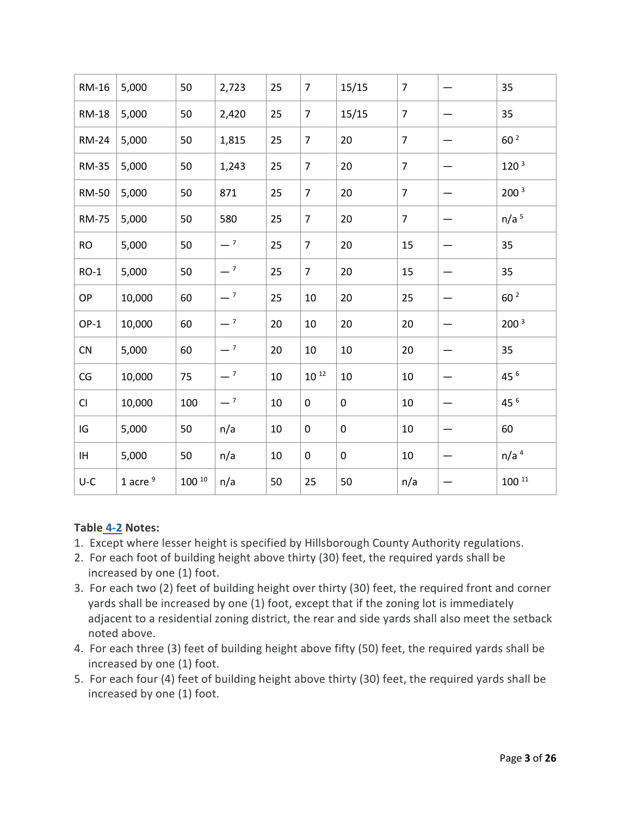| RM-16        | 5,000      | 50         | 2,723 | 25 | $\overline{7}$ | 15/15     | $\overline{7}$ | 35               |
|--------------|------------|------------|-------|----|----------------|-----------|----------------|------------------|
| <b>RM-18</b> | 5,000      | 50         | 2,420 | 25 | $\overline{7}$ | 15/15     | $\overline{7}$ | 35               |
| <b>RM-24</b> | 5,000      | 50         | 1,815 | 25 | $\overline{7}$ | 20        | $\overline{7}$ | 60 <sup>2</sup>  |
| <b>RM-35</b> | 5,000      | 50         | 1,243 | 25 | $\overline{7}$ | 20        | $\overline{7}$ | 120 <sup>3</sup> |
| <b>RM-50</b> | 5,000      | 50         | 871   | 25 | $\overline{7}$ | 20        | $\overline{7}$ | 200 <sup>3</sup> |
| <b>RM-75</b> | 5,000      | 50         | 580   | 25 | $\overline{7}$ | 20        | $\overline{7}$ | n/a <sup>5</sup> |
| <b>RO</b>    | 5,000      | 50         | $-7$  | 25 | $\overline{7}$ | 20        | 15             | 35               |
| $RO-1$       | 5,000      | 50         | $-7$  | 25 | $\overline{7}$ | 20        | 15             | 35               |
| OP           | 10,000     | 60         | $-7$  | 25 | 10             | 20        | 25             | 60 <sup>2</sup>  |
| $OP-1$       | 10,000     | 60         | $-7$  | 20 | 10             | 20        | 20             | 200 <sup>3</sup> |
| CN           | 5,000      | 60         | $-7$  | 20 | 10             | 10        | 20             | 35               |
| CG           | 10,000     | 75         | $-7$  | 10 | $10^{12}$      | 10        | 10             | 45 6             |
| CI           | 10,000     | 100        | $-7$  | 10 | 0              | $\pmb{0}$ | 10             | 45 6             |
| IG           | 5,000      | 50         | n/a   | 10 | 0              | $\pmb{0}$ | 10             | 60               |
| IH.          | 5,000      | 50         | n/a   | 10 | 0              | $\pmb{0}$ | 10             | n/a <sup>4</sup> |
| $U-C$        | 1 acre $9$ | $100^{10}$ | n/a   | 50 | 25             | 50        | n/a            | $100^{11}$       |

### **Table [4-2](https://library.municode.com/fl/tampa/codes/code_of_ordinances?nodeId=COOR_CH4PUAR_ARTIINGE_S4-2DE) Notes:**

- 1. Except where lesser height is specified by Hillsborough County Authority regulations.
- 2. For each foot of building height above thirty (30) feet, the required yards shall be increased by one (1) foot.
- 3. For each two (2) feet of building height over thirty (30) feet, the required front and corner yards shall be increased by one (1) foot, except that if the zoning lot is immediately adjacent to a residential zoning district, the rear and side yards shall also meet the setback noted above.
- 4. For each three (3) feet of building height above fifty (50) feet, the required yards shall be increased by one (1) foot.
- 5. For each four (4) feet of building height above thirty (30) feet, the required yards shall be increased by one (1) foot.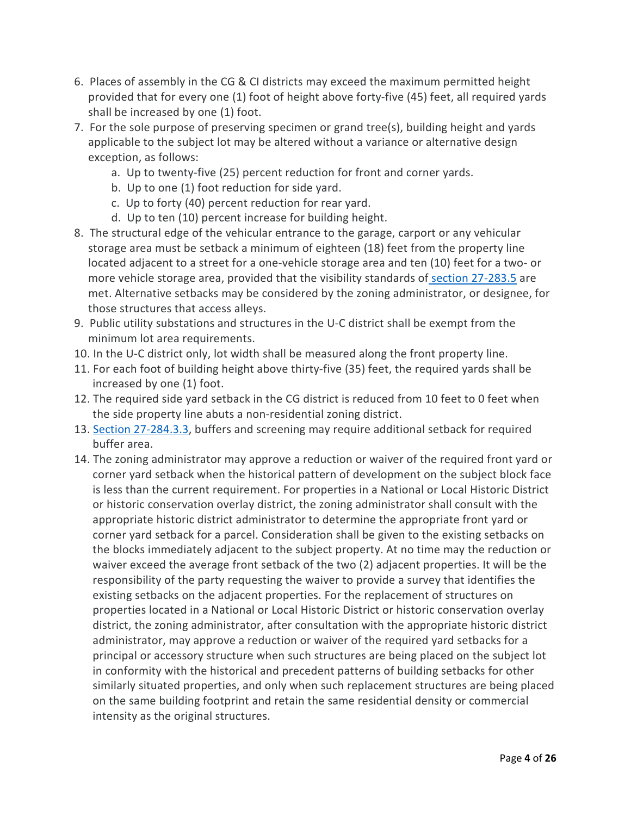- 6. Places of assembly in the CG & CI districts may exceed the maximum permitted height provided that for every one (1) foot of height above forty-five (45) feet, all required yards shall be increased by one (1) foot.
- 7. For the sole purpose of preserving specimen or grand tree(s), building height and yards applicable to the subject lot may be altered without a variance or alternative design exception, as follows:
	- a. Up to twenty-five (25) percent reduction for front and corner yards.
	- b. Up to one (1) foot reduction for side yard.
	- c. Up to forty (40) percent reduction for rear yard.
	- d. Up to ten (10) percent increase for building height.
- 8. The structural edge of the vehicular entrance to the garage, carport or any vehicular storage area must be setback a minimum of eighteen (18) feet from the property line located adjacent to a street for a one-vehicle storage area and ten (10) feet for a two- or more vehicle storage area, provided that the visibility standards of [section 27-283.5](https://library.municode.com/fl/tampa/codes/code_of_ordinances?nodeId=COOR_CH27ZOLADE_ARTVISURE_DIV3ACPALO_S27-283.5VIIN) are met. Alternative setbacks may be considered by the zoning administrator, or designee, for those structures that access alleys.
- 9. Public utility substations and structures in the U-C district shall be exempt from the minimum lot area requirements.
- 10. In the U-C district only, lot width shall be measured along the front property line.
- 11. For each foot of building height above thirty-five (35) feet, the required yards shall be increased by one (1) foot.
- 12. The required side yard setback in the CG district is reduced from 10 feet to 0 feet when the side property line abuts a non-residential zoning district.
- 13. [Section 27-284.3.3,](https://library.municode.com/fl/tampa/codes/code_of_ordinances?nodeId=COOR_CH27ZOLADE_ARTVISURE_DIV4NARETRLAWEUPHA_SD3GETRPLLA_S27-284.3.3LAARTRPLRE) buffers and screening may require additional setback for required buffer area.
- 14. The zoning administrator may approve a reduction or waiver of the required front yard or corner yard setback when the historical pattern of development on the subject block face is less than the current requirement. For properties in a National or Local Historic District or historic conservation overlay district, the zoning administrator shall consult with the appropriate historic district administrator to determine the appropriate front yard or corner yard setback for a parcel. Consideration shall be given to the existing setbacks on the blocks immediately adjacent to the subject property. At no time may the reduction or waiver exceed the average front setback of the two (2) adjacent properties. It will be the responsibility of the party requesting the waiver to provide a survey that identifies the existing setbacks on the adjacent properties. For the replacement of structures on properties located in a National or Local Historic District or historic conservation overlay district, the zoning administrator, after consultation with the appropriate historic district administrator, may approve a reduction or waiver of the required yard setbacks for a principal or accessory structure when such structures are being placed on the subject lot in conformity with the historical and precedent patterns of building setbacks for other similarly situated properties, and only when such replacement structures are being placed on the same building footprint and retain the same residential density or commercial intensity as the original structures.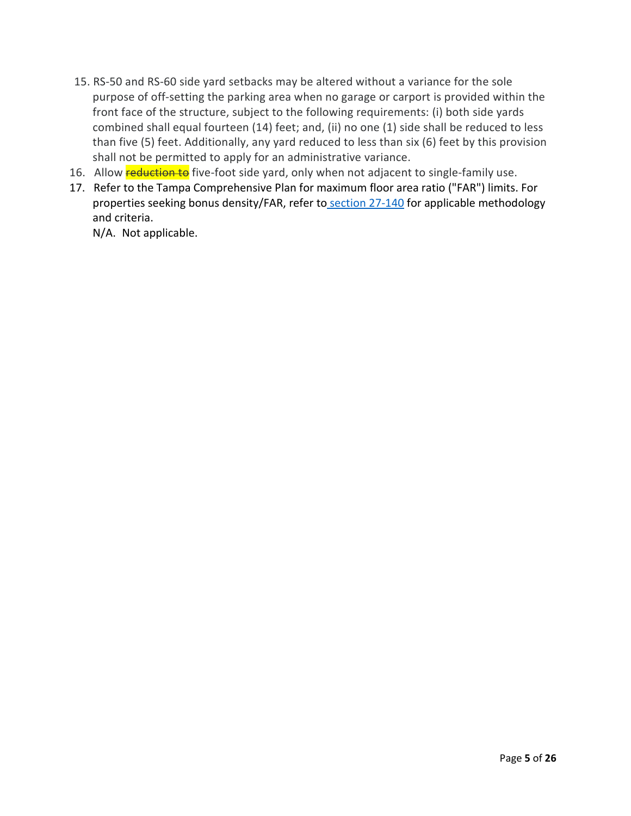- 15. RS-50 and RS-60 side yard setbacks may be altered without a variance for the sole purpose of off-setting the parking area when no garage or carport is provided within the front face of the structure, subject to the following requirements: (i) both side yards combined shall equal fourteen (14) feet; and, (ii) no one (1) side shall be reduced to less than five (5) feet. Additionally, any yard reduced to less than six (6) feet by this provision shall not be permitted to apply for an administrative variance.
- 16. Allow **reduction to** five-foot side yard, only when not adjacent to single-family use.
- 17. Refer to the Tampa Comprehensive Plan for maximum floor area ratio ("FAR") limits. For properties seeking bonus density/FAR, refer to [section 27-140](https://library.municode.com/fl/tampa/codes/code_of_ordinances?nodeId=COOR_CH27ZOLADE_ARTIIADGEPR_DIV6SIPLZODIPR_S27-140BOPR) for applicable methodology and criteria.

N/A. Not applicable.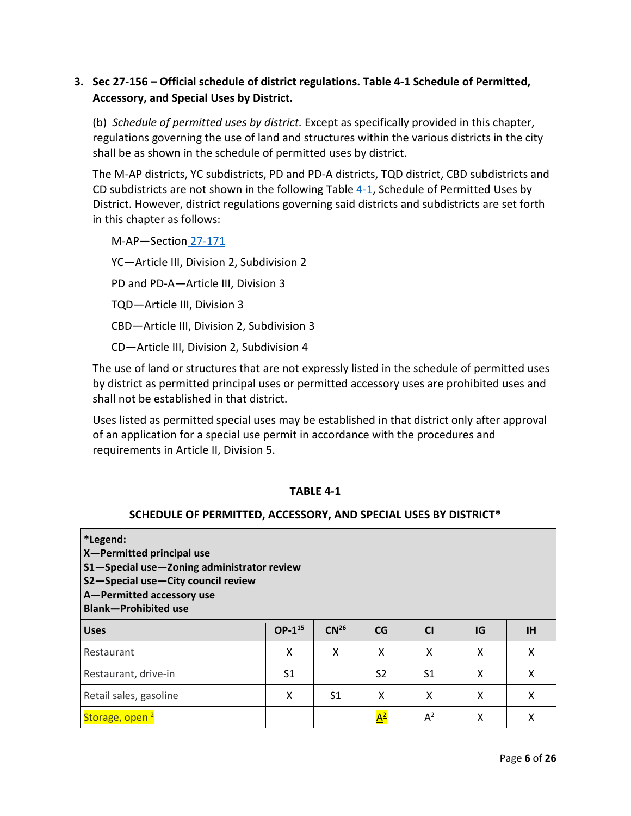## **3. Sec 27-156 – Official schedule of district regulations. Table 4-1 Schedule of Permitted, Accessory, and Special Uses by District.**

(b) *Schedule of permitted uses by district.* Except as specifically provided in this chapter, regulations governing the use of land and structures within the various districts in the city shall be as shown in the schedule of permitted uses by district.

The M-AP districts, YC subdistricts, PD and PD-A districts, TQD district, CBD subdistricts and CD subdistricts are not shown in the following Table  $4-1$ , Schedule of Permitted Uses by District. However, district regulations governing said districts and subdistricts are set forth in this chapter as follows:

M-AP—Section [27-171](https://library.municode.com/fl/tampa/codes/code_of_ordinances?nodeId=COOR_CH27ZOLADE_ARTIIIESZODIDIRE_DIV2SPDI_SD1MUAIDI_S27-171DIREAICODI) YC—Article III, Division 2, Subdivision 2 PD and PD-A—Article III, Division 3 TQD—Article III, Division 3 CBD—Article III, Division 2, Subdivision 3 CD—Article III, Division 2, Subdivision 4

The use of land or structures that are not expressly listed in the schedule of permitted uses by district as permitted principal uses or permitted accessory uses are prohibited uses and shall not be established in that district.

Uses listed as permitted special uses may be established in that district only after approval of an application for a special use permit in accordance with the procedures and requirements in Article II, Division 5.

#### **TABLE 4-1**

#### **SCHEDULE OF PERMITTED, ACCESSORY, AND SPECIAL USES BY DISTRICT\***

| *Legend:<br>X-Permitted principal use<br>S1-Special use-Zoning administrator review<br>S2-Special use-City council review<br>A-Permitted accessory use<br><b>Blank-Prohibited use</b> |                |                  |                  |                |    |           |
|---------------------------------------------------------------------------------------------------------------------------------------------------------------------------------------|----------------|------------------|------------------|----------------|----|-----------|
| <b>Uses</b>                                                                                                                                                                           | $OP-1^{15}$    | CN <sup>26</sup> | CG               | <b>CI</b>      | IG | <b>IH</b> |
| Restaurant                                                                                                                                                                            | X              | X                | X                | x              | X  | X         |
| Restaurant, drive-in                                                                                                                                                                  | S <sub>1</sub> |                  | S <sub>2</sub>   | S <sub>1</sub> | X  | X         |
| Retail sales, gasoline                                                                                                                                                                | X              | S1               | X                | X              | X  | X         |
| Storage, open                                                                                                                                                                         |                |                  | $\overline{A^2}$ | $A^2$          | X  |           |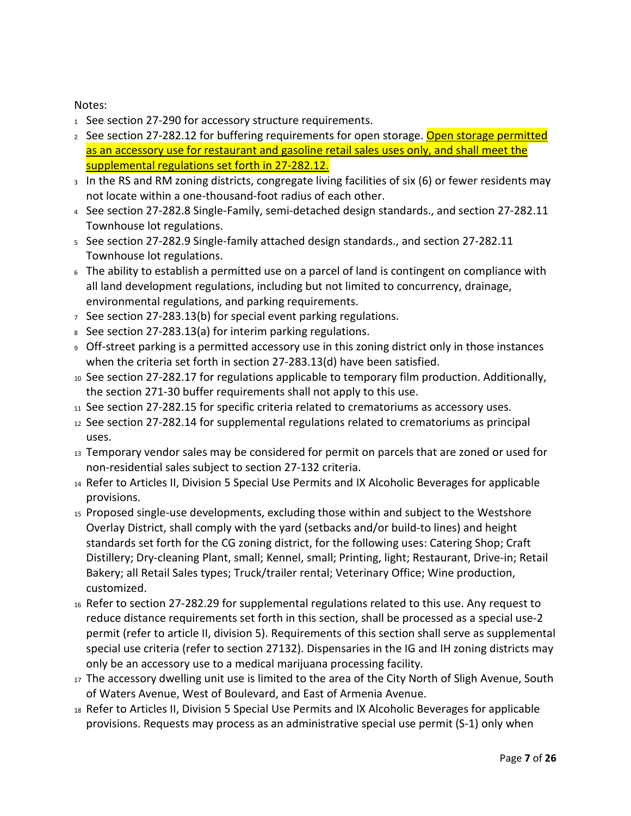### Notes:

- 1 See [section 27-290](https://library.municode.com/) [f](https://library.municode.com/)or accessory structure requirements.
- 2 See [section 27-282.12](https://library.municode.com/) [f](https://library.municode.com/)or buffering requirements for open storage. Open storage permitted as an accessory use for restaurant and gasoline retail sales uses only, and shall meet the supplemental regulations set forth in 27-282.12.
- 3 In the RS and RM zoning districts, congregate living facilities of six (6) or fewer residents may not locate within a one-thousand-foot radius of each other.
- <sup>4</sup> See [section 27-282.8](https://library.municode.com/) [S](https://library.municode.com/)ingle-Family, semi-detached design standards., and [section 27-282.11](https://library.municode.com/) Townhouse lot regulations.
- <sup>5</sup> See [section 27-282.9](https://library.municode.com/) [S](https://library.municode.com/)ingle-family attached design standards., and [section 27-282.11](https://library.municode.com/) Townhouse lot regulations.
- <sup>6</sup> The ability to establish a permitted use on a parcel of land is contingent on compliance with all land development regulations, including but not limited to concurrency, drainage, environmental regulations, and parking requirements.
- $7$  See [section 27-283.13\(b](https://library.municode.com/)) for special event parking regulations.
- 8 See [section 27-283.13\(a](https://library.municode.com/)) for interim parking regulations.
- <sup>9</sup> Off-street parking is a permitted accessory use in this zoning district only in those instances when the criteria set forth in [section 27-283.13\(](https://library.municode.com/)d) have been satisfied.
- <sup>10</sup> See [section 27-282.17](https://library.municode.com/) for regulations applicable to temporary film production. Additionally, the section 271-30 buffer requirements shall not apply to this use.
- 11 See [section 27-282.15](https://library.municode.com/) for specific criteria related to crematoriums as accessory uses.
- <sup>12</sup> See [section 27-282.14](https://library.municode.com/) for supplemental regulations related to crematoriums as principal uses.
- <sup>13</sup> Temporary vendor sales may be considered for permit on parcels that are zoned or used for non-residential sales subject to [section 27-132](https://library.municode.com/) [c](https://library.municode.com/)riteria.
- <sup>14</sup> Refer to Articles II, Division 5 Special Use Permits and IX Alcoholic Beverages for applicable provisions.
- <sup>15</sup> Proposed single-use developments, excluding those within and subject to the Westshore Overlay District, shall comply with the yard (setbacks and/or build-to lines) and height standards set forth for the CG zoning district, for the following uses: Catering Shop; Craft Distillery; Dry-cleaning Plant, small; Kennel, small; Printing, light; Restaurant, Drive-in; Retail Bakery; all Retail Sales types; Truck/trailer rental; Veterinary Office; Wine production, customized.
- <sup>16</sup> Refer to [section 27-282.29](https://library.municode.com/) for supplemental regulations related to this use. Any request to reduce distance requirements set forth in this section, shall be [processed as a special use-2](https://library.municode.com/)  [permit \(refer to article II, division 5\). Requirements of this section shall serve as supplemental](https://library.municode.com/)  [special use criteria \(refer to](https://library.municode.com/) [section 27132\). Dispensaries in the IG and IH zoning districts may](https://library.municode.com/)  [only be an accessory use to a medical marijuana processing facility.](https://library.municode.com/)
- <sup>17</sup> The accessory dwelling unit use is limited to the area of the City North of Sligh Avenue, South of Waters Avenue, West of Boulevard, and East of Armenia Avenue.
- <sup>18</sup> Refer to Articles II, Division 5 Special Use Permits and IX Alcoholic Beverages for applicable provisions. Requests may process as an administrative special use permit (S-1) only when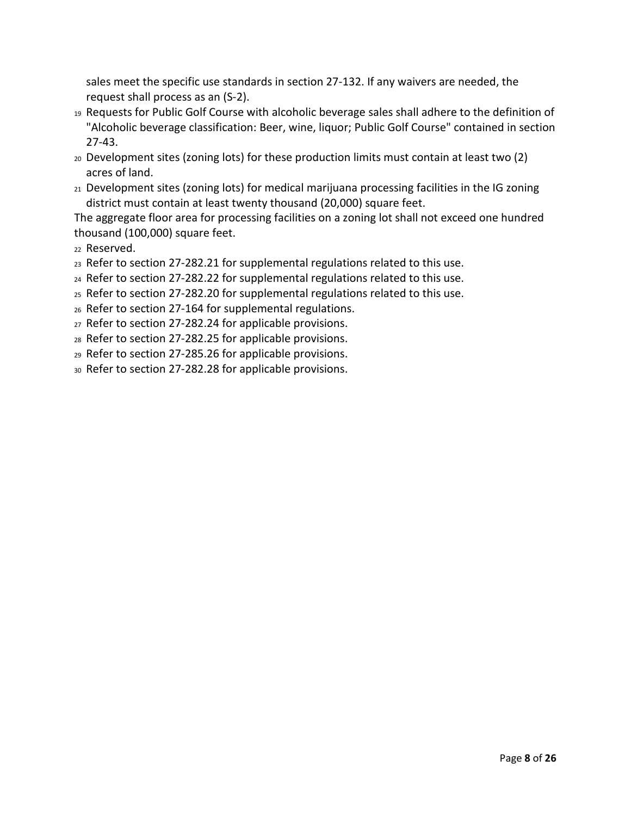sales meet the specific use standards in [section 27-132.](https://library.municode.com/) If any waivers are needed, the request shall process as an (S-2).

- <sup>19</sup> Requests for Public Golf Course with alcoholic beverage sales shall adhere to the definition of "Alcoholic beverage classification: Beer, wine, liquor; Public Golf Course" contained in [section](https://library.municode.com/)  [27-43.](https://library.municode.com/)
- <sup>20</sup> Development sites (zoning lots) for these production limits must contain at least two (2) acres of land.
- <sup>21</sup> Development sites (zoning lots) for medical marijuana processing facilities in the IG zoning district must contain at least twenty thousand (20,000) square feet.

The aggregate floor area for processing facilities on a zoning lot shall not exceed one hundred thousand (100,000) square feet.

<sup>22</sup> Reserved.

- <sup>23</sup> Refer to [section 27-282.21](https://library.municode.com/) for supplemental regulations related to this use.
- <sup>24</sup> Refer to [section 27-282.22](https://library.municode.com/) for supplemental regulations related to this use.
- <sup>25</sup> Refer to [section 27-282.20](https://library.municode.com/) for supplemental regulations related to this use.
- <sup>26</sup> Refer to [section 27-164](https://library.municode.com/) for supplemental regulations.
- <sup>27</sup> Refer to [section 27-282.24](https://library.municode.com/) for applicable provisions.
- <sup>28</sup> Refer to [section 27-282.25](https://library.municode.com/) for applicable provisions.
- <sup>29</sup> Refer to section 27-285.26 for applicable provisions.
- <sup>30</sup> Refer to [section 27-282.28](https://library.municode.com/) for applicable provisions.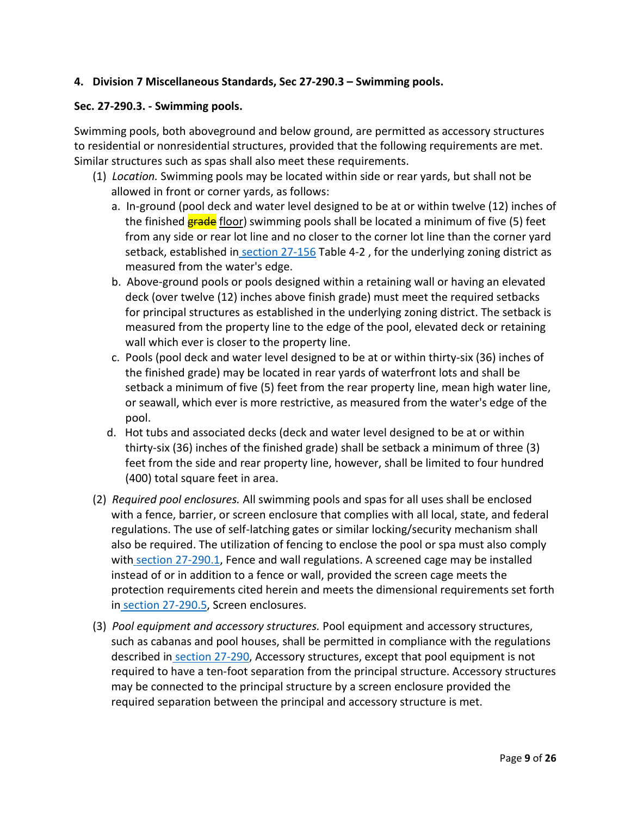### **4. Division 7 Miscellaneous Standards, Sec 27-290.3 – Swimming pools.**

### **Sec. 27-290.3. - Swimming pools.**

Swimming pools, both aboveground and below ground, are permitted as accessory structures to residential or nonresidential structures, provided that the following requirements are met. Similar structures such as spas shall also meet these requirements.

- (1) *Location.* Swimming pools may be located within side or rear yards, but shall not be allowed in front or corner yards, as follows:
	- a. In-ground (pool deck and water level designed to be at or within twelve (12) inches of the finished **grade** floor) swimming pools shall be located a minimum of five (5) feet from any side or rear lot line and no closer to the corner lot line than the corner yard setback, established in [section 27-156](https://library.municode.com/fl/tampa/codes/code_of_ordinances?nodeId=COOR_CH27ZOLADE_ARTIIIESZODIDIRE_DIV1GEZODI_S27-156OFSCDIRE) Table 4-2, for the underlying zoning district as measured from the water's edge.
	- b. Above-ground pools or pools designed within a retaining wall or having an elevated deck (over twelve (12) inches above finish grade) must meet the required setbacks for principal structures as established in the underlying zoning district. The setback is measured from the property line to the edge of the pool, elevated deck or retaining wall which ever is closer to the property line.
	- c. Pools (pool deck and water level designed to be at or within thirty-six (36) inches of the finished grade) may be located in rear yards of waterfront lots and shall be setback a minimum of five (5) feet from the rear property line, mean high water line, or seawall, which ever is more restrictive, as measured from the water's edge of the pool.
	- d. Hot tubs and associated decks (deck and water level designed to be at or within thirty-six (36) inches of the finished grade) shall be setback a minimum of three (3) feet from the side and rear property line, however, shall be limited to four hundred (400) total square feet in area.
- (2) *Required pool enclosures.* All swimming pools and spas for all uses shall be enclosed with a fence, barrier, or screen enclosure that complies with all local, state, and federal regulations. The use of self-latching gates or similar locking/security mechanism shall also be required. The utilization of fencing to enclose the pool or spa must also comply with [section 27-290.1,](https://library.municode.com/fl/tampa/codes/code_of_ordinances?nodeId=COOR_CH27ZOLADE_ARTVISURE_DIV7MIST_S27-290.1FEWARE) Fence and wall regulations. A screened cage may be installed instead of or in addition to a fence or wall, provided the screen cage meets the protection requirements cited herein and meets the dimensional requirements set forth in [section 27-290.5,](https://library.municode.com/fl/tampa/codes/code_of_ordinances?nodeId=COOR_CH27ZOLADE_ARTVISURE_DIV7MIST_S27-290.5SCEN) Screen enclosures.
- (3) *Pool equipment and accessory structures.* Pool equipment and accessory structures, such as cabanas and pool houses, shall be permitted in compliance with the regulations described in [section 27-290,](https://library.municode.com/fl/tampa/codes/code_of_ordinances?nodeId=COOR_CH27ZOLADE_ARTVISURE_DIV7MIST_S27-290ACST) Accessory structures, except that pool equipment is not required to have a ten-foot separation from the principal structure. Accessory structures may be connected to the principal structure by a screen enclosure provided the required separation between the principal and accessory structure is met.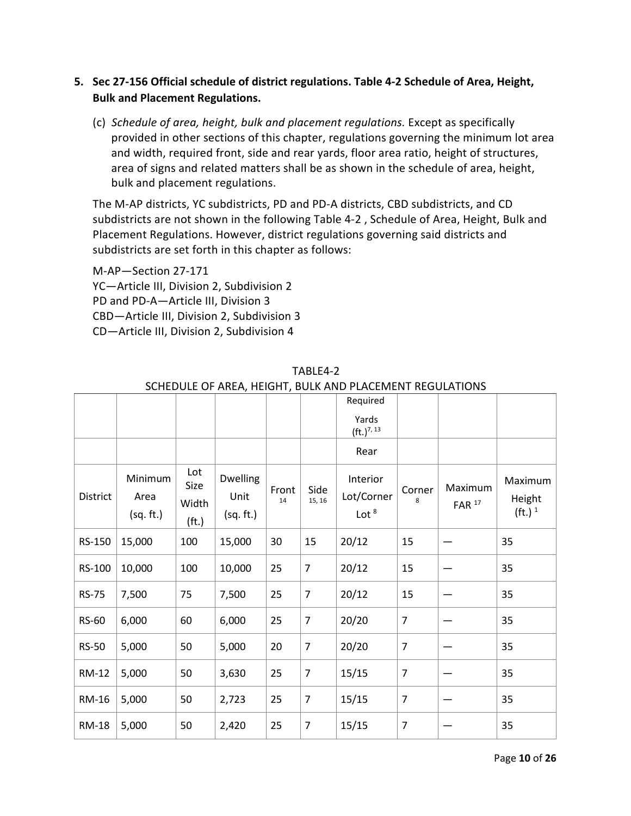## **5. Sec 27-156 Official schedule of district regulations. Table 4-2 Schedule of Area, Height, Bulk and Placement Regulations.**

(c) *Schedule of area, height, bulk and placement regulations.* Except as specifically provided in other sections of this chapter, regulations governing the minimum lot area and width, required front, side and rear yards, floor area ratio, height of structures, area of signs and related matters shall be as shown in the schedule of area, height, bulk and placement regulations.

The M-AP districts, YC subdistricts, PD and PD-A districts, CBD subdistricts, and CD subdistricts are not shown in the following Table 4-2 , Schedule of Area, Height, Bulk and Placement Regulations. However, district regulations governing said districts and subdistricts are set forth in this chapter as follows:

M-AP—Section 27-171 YC—Article III, Division 2, Subdivision 2 PD and PD-A—Article III, Division 3 CBD—Article III, Division 2, Subdivision 3 CD—Article III, Division 2, Subdivision 4

|              |                              |                                           |                               |             |                | Required<br>Yards                 |                |                                |                                         |
|--------------|------------------------------|-------------------------------------------|-------------------------------|-------------|----------------|-----------------------------------|----------------|--------------------------------|-----------------------------------------|
|              |                              |                                           |                               |             |                | $({\rm ft.})^{7,13}$              |                |                                |                                         |
|              |                              |                                           |                               |             |                | Rear                              |                |                                |                                         |
| District     | Minimum<br>Area<br>(sq. ft.) | Lot<br>Size<br>Width<br>(f <sub>t</sub> ) | Dwelling<br>Unit<br>(sq. ft.) | Front<br>14 | Side<br>15, 16 | Interior<br>Lot/Corner<br>Lot $8$ | Corner<br>8    | Maximum<br>$FAR$ <sup>17</sup> | Maximum<br>Height<br>(ft.) <sup>1</sup> |
| RS-150       | 15,000                       | 100                                       | 15,000                        | 30          | 15             | 20/12                             | 15             |                                | 35                                      |
| RS-100       | 10,000                       | 100                                       | 10,000                        | 25          | $\overline{7}$ | 20/12                             | 15             |                                | 35                                      |
| <b>RS-75</b> | 7,500                        | 75                                        | 7,500                         | 25          | $\overline{7}$ | 20/12                             | 15             |                                | 35                                      |
| <b>RS-60</b> | 6,000                        | 60                                        | 6,000                         | 25          | $\overline{7}$ | 20/20                             | $\overline{7}$ |                                | 35                                      |
| <b>RS-50</b> | 5,000                        | 50                                        | 5,000                         | 20          | $\overline{7}$ | 20/20                             | $\overline{7}$ |                                | 35                                      |
| RM-12        | 5,000                        | 50                                        | 3,630                         | 25          | $\overline{7}$ | 15/15                             | $\overline{7}$ |                                | 35                                      |
| <b>RM-16</b> | 5,000                        | 50                                        | 2,723                         | 25          | $\overline{7}$ | 15/15                             | $\overline{7}$ |                                | 35                                      |
| <b>RM-18</b> | 5,000                        | 50                                        | 2,420                         | 25          | $\overline{7}$ | 15/15                             | $\overline{7}$ |                                | 35                                      |

TABLE4-2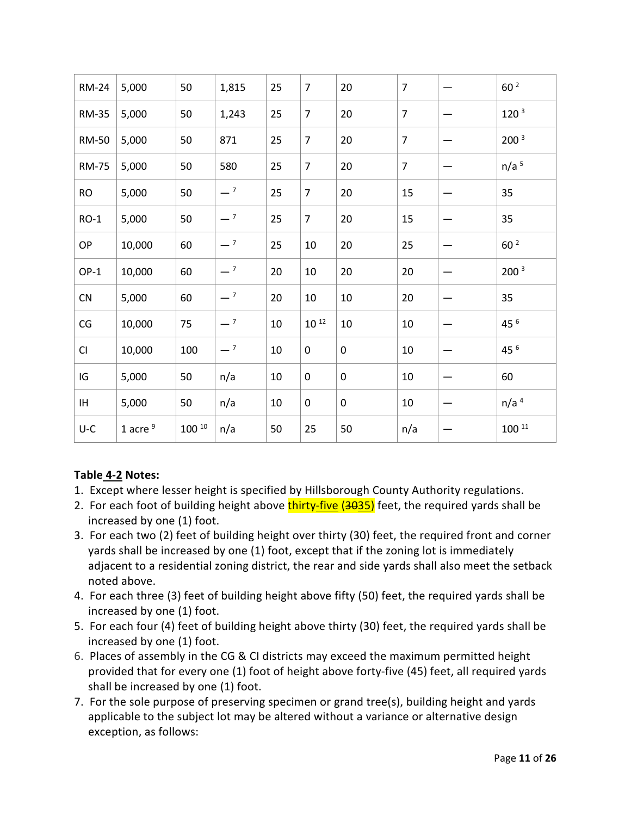| <b>RM-24</b>             | 5,000      | 50         | 1,815 | 25 | $\overline{7}$ | 20          | $\overline{7}$ | 60 <sup>2</sup>  |
|--------------------------|------------|------------|-------|----|----------------|-------------|----------------|------------------|
| <b>RM-35</b>             | 5,000      | 50         | 1,243 | 25 | $\overline{7}$ | 20          | $\overline{7}$ | 120 <sup>3</sup> |
| <b>RM-50</b>             | 5,000      | 50         | 871   | 25 | $\overline{7}$ | 20          | $\overline{7}$ | 200 <sup>3</sup> |
| <b>RM-75</b>             | 5,000      | 50         | 580   | 25 | $\overline{7}$ | 20          | $\overline{7}$ | n/a <sup>5</sup> |
| <b>RO</b>                | 5,000      | 50         | $-7$  | 25 | $\overline{7}$ | 20          | 15             | 35               |
| $RO-1$                   | 5,000      | 50         | $-7$  | 25 | $\overline{7}$ | 20          | 15             | 35               |
| OP                       | 10,000     | 60         | $-7$  | 25 | 10             | 20          | 25             | 60 <sup>2</sup>  |
| $OP-1$                   | 10,000     | 60         | $-7$  | 20 | 10             | 20          | 20             | 200 <sup>3</sup> |
| CN                       | 5,000      | 60         | $-7$  | 20 | 10             | $10\,$      | 20             | 35               |
| $\mathsf{CG}\phantom{.}$ | 10,000     | 75         | $-7$  | 10 | $10^{12}$      | $10\,$      | 10             | 45 6             |
| CI                       | 10,000     | 100        | $-7$  | 10 | 0              | $\mathbf 0$ | 10             | 45 6             |
| IG                       | 5,000      | 50         | n/a   | 10 | 0              | 0           | 10             | 60               |
| IH                       | 5,000      | 50         | n/a   | 10 | 0              | $\pmb{0}$   | 10             | n/a <sup>4</sup> |
| $U-C$                    | 1 acre $9$ | $100^{10}$ | n/a   | 50 | 25             | 50          | n/a            | $100^{11}$       |

# **Table [4-2](https://library.municode.com/fl/tampa/codes/code_of_ordinances?nodeId=COOR_CH4PUAR_ARTIINGE_S4-2DE) Notes:**

- 1. Except where lesser height is specified by Hillsborough County Authority regulations.
- 2. For each foot of building height above **thirty-five (3035)** feet, the required yards shall be increased by one (1) foot.
- 3. For each two (2) feet of building height over thirty (30) feet, the required front and corner yards shall be increased by one (1) foot, except that if the zoning lot is immediately adjacent to a residential zoning district, the rear and side yards shall also meet the setback noted above.
- 4. For each three (3) feet of building height above fifty (50) feet, the required yards shall be increased by one (1) foot.
- 5. For each four (4) feet of building height above thirty (30) feet, the required yards shall be increased by one (1) foot.
- 6. Places of assembly in the CG & CI districts may exceed the maximum permitted height provided that for every one (1) foot of height above forty-five (45) feet, all required yards shall be increased by one (1) foot.
- 7. For the sole purpose of preserving specimen or grand tree(s), building height and yards applicable to the subject lot may be altered without a variance or alternative design exception, as follows: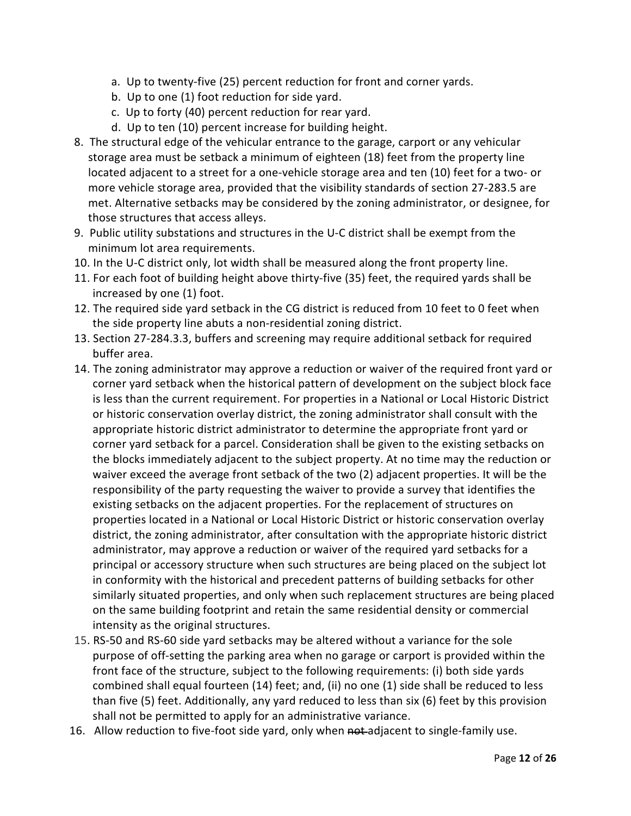- a. Up to twenty-five (25) percent reduction for front and corner yards.
- b. Up to one (1) foot reduction for side yard.
- c. Up to forty (40) percent reduction for rear yard.
- d. Up to ten (10) percent increase for building height.
- 8. The structural edge of the vehicular entrance to the garage, carport or any vehicular storage area must be setback a minimum of eighteen (18) feet from the property line located adjacent to a street for a one-vehicle storage area and ten (10) feet for a two- or more vehicle storage area, provided that the visibility standards of [section 27-283.5](https://library.municode.com/fl/tampa/codes/code_of_ordinances?nodeId=COOR_CH27ZOLADE_ARTVISURE_DIV3ACPALO_S27-283.5VIIN) are met. Alternative setbacks may be considered by the zoning administrator, or designee, for those structures that access alleys.
- 9. Public utility substations and structures in the U-C district shall be exempt from the minimum lot area requirements.
- 10. In the U-C district only, lot width shall be measured along the front property line.
- 11. For each foot of building height above thirty-five (35) feet, the required yards shall be increased by one (1) foot.
- 12. The required side yard setback in the CG district is reduced from 10 feet to 0 feet when the side property line abuts a non-residential zoning district.
- 13. [Section 27-284.3.3,](https://library.municode.com/fl/tampa/codes/code_of_ordinances?nodeId=COOR_CH27ZOLADE_ARTVISURE_DIV4NARETRLAWEUPHA_SD3GETRPLLA_S27-284.3.3LAARTRPLRE) buffers and screening may require additional setback for required buffer area.
- 14. The zoning administrator may approve a reduction or waiver of the required front yard or corner yard setback when the historical pattern of development on the subject block face is less than the current requirement. For properties in a National or Local Historic District or historic conservation overlay district, the zoning administrator shall consult with the appropriate historic district administrator to determine the appropriate front yard or corner yard setback for a parcel. Consideration shall be given to the existing setbacks on the blocks immediately adjacent to the subject property. At no time may the reduction or waiver exceed the average front setback of the two (2) adjacent properties. It will be the responsibility of the party requesting the waiver to provide a survey that identifies the existing setbacks on the adjacent properties. For the replacement of structures on properties located in a National or Local Historic District or historic conservation overlay district, the zoning administrator, after consultation with the appropriate historic district administrator, may approve a reduction or waiver of the required yard setbacks for a principal or accessory structure when such structures are being placed on the subject lot in conformity with the historical and precedent patterns of building setbacks for other similarly situated properties, and only when such replacement structures are being placed on the same building footprint and retain the same residential density or commercial intensity as the original structures.
- 15. RS-50 and RS-60 side yard setbacks may be altered without a variance for the sole purpose of off-setting the parking area when no garage or carport is provided within the front face of the structure, subject to the following requirements: (i) both side yards combined shall equal fourteen (14) feet; and, (ii) no one (1) side shall be reduced to less than five (5) feet. Additionally, any yard reduced to less than six (6) feet by this provision shall not be permitted to apply for an administrative variance.
- 16. Allow reduction to five-foot side yard, only when not adjacent to single-family use.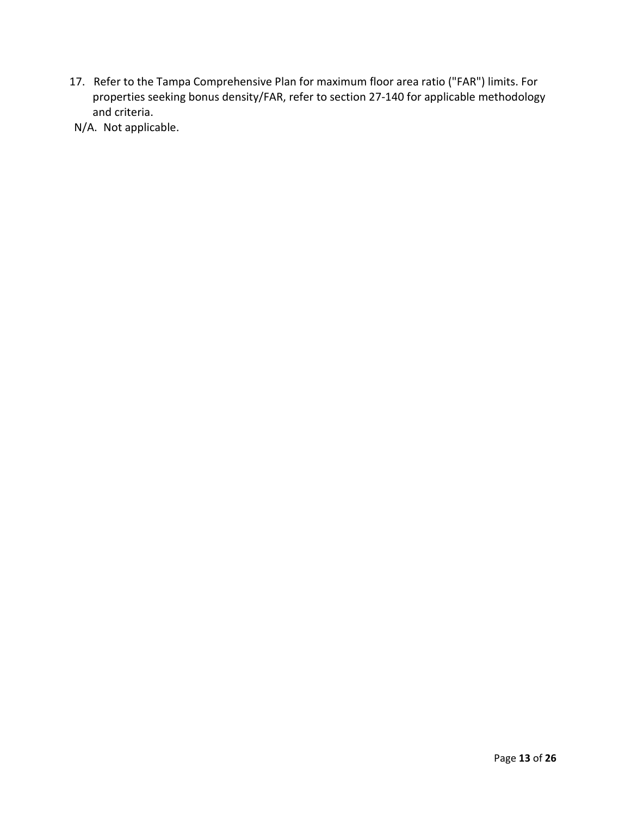- 17. Refer to the Tampa Comprehensive Plan for maximum floor area ratio ("FAR") limits. For properties seeking bonus density/FAR, refer to [section 27-140](https://library.municode.com/fl/tampa/codes/code_of_ordinances?nodeId=COOR_CH27ZOLADE_ARTIIADGEPR_DIV6SIPLZODIPR_S27-140BOPR) for applicable methodology and criteria.
- N/A. Not applicable.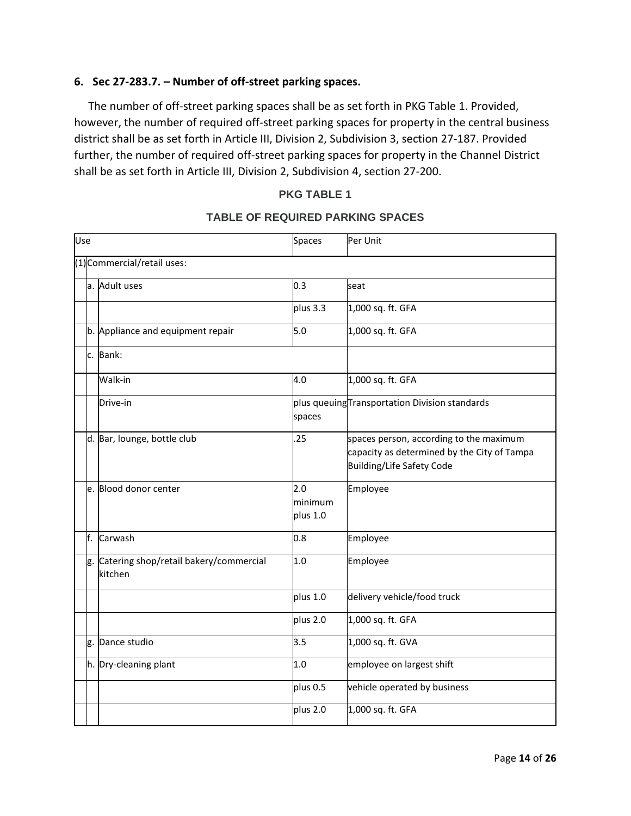### **6. Sec 27-283.7. – Number of off-street parking spaces.**

 The number of off-street parking spaces shall be as set forth in PKG Table 1. Provided, however, the number of required off-street parking spaces for property in the central business district shall be as set forth in Article III, Division 2, Subdivision 3, section 27-187. Provided further, the number of required off-street parking spaces for property in the Channel District shall be as set forth in Article III, Division 2, Subdivision 4, section 27-200.

#### **PKG TABLE 1**

| Use |    |                                                      | Spaces                     | Per Unit                                                                                                            |
|-----|----|------------------------------------------------------|----------------------------|---------------------------------------------------------------------------------------------------------------------|
|     |    | (1) Commercial/retail uses:                          |                            |                                                                                                                     |
|     |    | a. Adult uses                                        | 0.3                        | seat                                                                                                                |
|     |    |                                                      | plus 3.3                   | 1,000 sq. ft. GFA                                                                                                   |
|     |    | b. Appliance and equipment repair                    | 5.0                        | 1,000 sq. ft. GFA                                                                                                   |
|     | c. | Bank:                                                |                            |                                                                                                                     |
|     |    | Walk-in                                              | 4.0                        | 1,000 sq. ft. GFA                                                                                                   |
|     |    | Drive-in                                             | spaces                     | plus queuing Transportation Division standards                                                                      |
|     |    | d. Bar, lounge, bottle club                          | .25                        | spaces person, according to the maximum<br>capacity as determined by the City of Tampa<br>Building/Life Safety Code |
|     |    | e. Blood donor center                                | 2.0<br>minimum<br>plus 1.0 | Employee                                                                                                            |
|     | f. | Carwash                                              | 0.8                        | Employee                                                                                                            |
|     |    | g. Catering shop/retail bakery/commercial<br>kitchen | 1.0                        | Employee                                                                                                            |
|     |    |                                                      | plus 1.0                   | delivery vehicle/food truck                                                                                         |
|     |    |                                                      | plus 2.0                   | 1,000 sq. ft. GFA                                                                                                   |
|     | g. | Dance studio                                         | 3.5                        | 1,000 sq. ft. GVA                                                                                                   |
|     |    | h. Dry-cleaning plant                                | 1.0                        | employee on largest shift                                                                                           |
|     |    |                                                      | plus 0.5                   | vehicle operated by business                                                                                        |
|     |    |                                                      | plus 2.0                   | 1,000 sq. ft. GFA                                                                                                   |

#### **TABLE OF REQUIRED PARKING SPACES**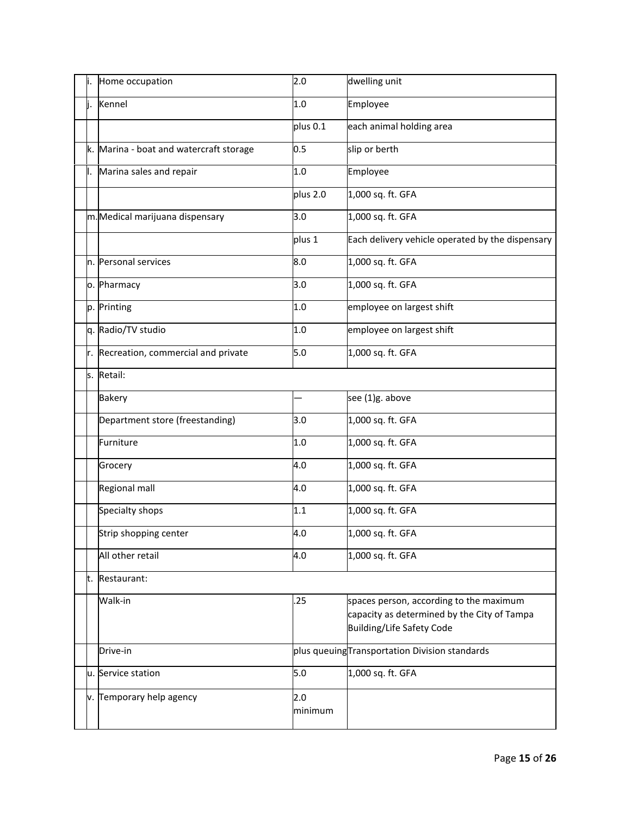|    | Home occupation                         | 2.0            | dwelling unit                                                                                                       |
|----|-----------------------------------------|----------------|---------------------------------------------------------------------------------------------------------------------|
|    | Kennel                                  | 1.0            | Employee                                                                                                            |
|    |                                         | plus 0.1       | each animal holding area                                                                                            |
|    | k. Marina - boat and watercraft storage | 0.5            | slip or berth                                                                                                       |
| ı. | Marina sales and repair                 | 1.0            | Employee                                                                                                            |
|    |                                         | plus 2.0       | 1,000 sq. ft. GFA                                                                                                   |
|    | m.Medical marijuana dispensary          | 3.0            | 1,000 sq. ft. GFA                                                                                                   |
|    |                                         | plus 1         | Each delivery vehicle operated by the dispensary                                                                    |
|    | n. Personal services                    | 8.0            | 1,000 sq. ft. GFA                                                                                                   |
|    | o. Pharmacy                             | 3.0            | 1,000 sq. ft. GFA                                                                                                   |
|    | p. Printing                             | 1.0            | employee on largest shift                                                                                           |
|    | q. Radio/TV studio                      | 1.0            | employee on largest shift                                                                                           |
| r. | Recreation, commercial and private      | 5.0            | 1,000 sq. ft. GFA                                                                                                   |
|    | s. Retail:                              |                |                                                                                                                     |
|    | <b>Bakery</b>                           |                | see (1)g. above                                                                                                     |
|    | Department store (freestanding)         | 3.0            | 1,000 sq. ft. GFA                                                                                                   |
|    | Furniture                               | 1.0            | 1,000 sq. ft. GFA                                                                                                   |
|    | Grocery                                 | 4.0            | 1,000 sq. ft. GFA                                                                                                   |
|    | Regional mall                           | 4.0            | 1,000 sq. ft. GFA                                                                                                   |
|    | Specialty shops                         | 1.1            | 1,000 sq. ft. GFA                                                                                                   |
|    | Strip shopping center                   | 4.0            | 1,000 sq. ft. GFA                                                                                                   |
|    | All other retail                        | 4.0            | 1,000 sq. ft. GFA                                                                                                   |
| t. | Restaurant:                             |                |                                                                                                                     |
|    | Walk-in                                 | .25            | spaces person, according to the maximum<br>capacity as determined by the City of Tampa<br>Building/Life Safety Code |
|    | Drive-in                                |                | plus queuing Transportation Division standards                                                                      |
|    | u. Service station                      | 5.0            | 1,000 sq. ft. GFA                                                                                                   |
|    | v. Temporary help agency                | 2.0<br>minimum |                                                                                                                     |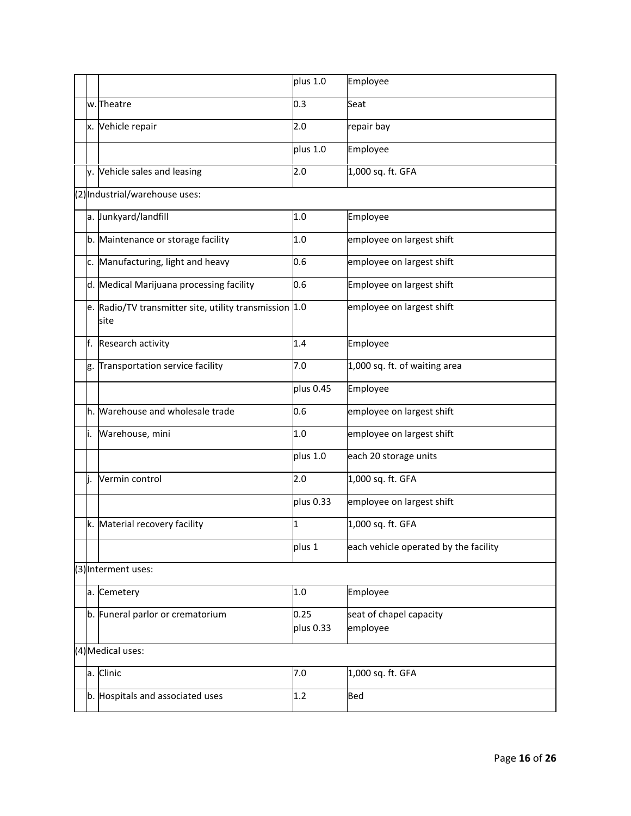|    |                                                                | plus 1.0          | Employee                              |
|----|----------------------------------------------------------------|-------------------|---------------------------------------|
|    | w. Theatre                                                     | 0.3               | Seat                                  |
| x. | Vehicle repair                                                 | 2.0               | repair bay                            |
|    |                                                                | plus 1.0          | Employee                              |
|    | y. Vehicle sales and leasing                                   | 2.0               | 1,000 sq. ft. GFA                     |
|    | (2) Industrial/warehouse uses:                                 |                   |                                       |
|    | a. Junkyard/landfill                                           | 1.0               | Employee                              |
|    | b. Maintenance or storage facility                             | 1.0               | employee on largest shift             |
| c. | Manufacturing, light and heavy                                 | 0.6               | employee on largest shift             |
|    | d. Medical Marijuana processing facility                       | 0.6               | Employee on largest shift             |
|    | e. Radio/TV transmitter site, utility transmission 1.0<br>site |                   | employee on largest shift             |
| f. | Research activity                                              | 1.4               | Employee                              |
| g. | Transportation service facility                                | 7.0               | 1,000 sq. ft. of waiting area         |
|    |                                                                | plus 0.45         | Employee                              |
|    | h. Warehouse and wholesale trade                               | 0.6               | employee on largest shift             |
| i. | Warehouse, mini                                                | 1.0               | employee on largest shift             |
|    |                                                                | plus 1.0          | each 20 storage units                 |
|    | Vermin control                                                 | 2.0               | 1,000 sq. ft. GFA                     |
|    |                                                                | plus 0.33         | employee on largest shift             |
|    | k. Material recovery facility                                  | 1                 | 1,000 sq. ft. GFA                     |
|    |                                                                | plus 1            | each vehicle operated by the facility |
|    | (3) Interment uses:                                            |                   |                                       |
|    | a. Cemetery                                                    | 1.0               | Employee                              |
|    | b. Funeral parlor or crematorium                               | 0.25<br>plus 0.33 | seat of chapel capacity<br>employee   |
|    | (4) Medical uses:                                              |                   |                                       |
| a. | Clinic                                                         | 7.0               | 1,000 sq. ft. GFA                     |
|    | b. Hospitals and associated uses                               | 1.2               | Bed                                   |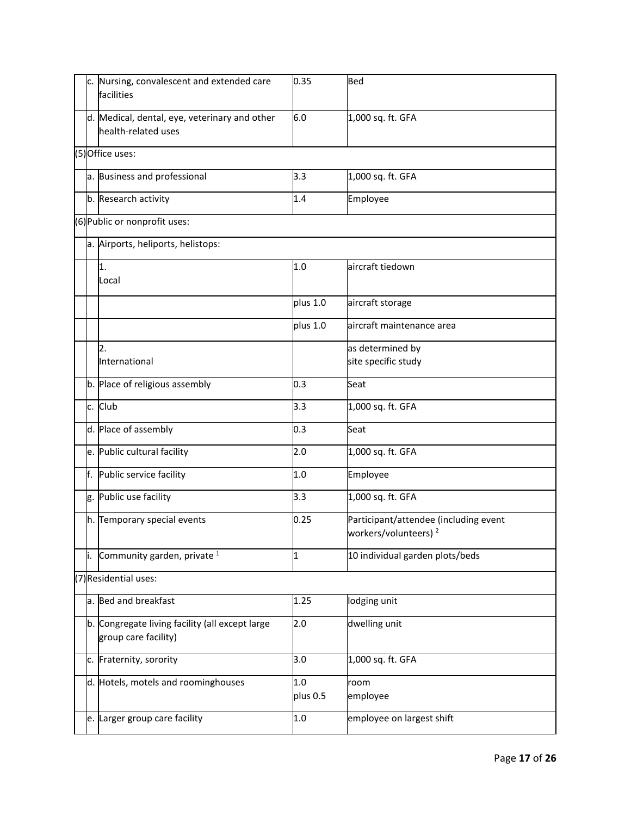| c. | Nursing, convalescent and extended care<br>facilities                   | 0.35            | <b>Bed</b>                                                                |
|----|-------------------------------------------------------------------------|-----------------|---------------------------------------------------------------------------|
|    | d. Medical, dental, eye, veterinary and other<br>health-related uses    | 6.0             | 1,000 sq. ft. GFA                                                         |
|    | $(5)$ Office uses:                                                      |                 |                                                                           |
|    | a. Business and professional                                            | 3.3             | 1,000 sq. ft. GFA                                                         |
|    | b. Research activity                                                    | 1.4             | Employee                                                                  |
|    | (6) Public or nonprofit uses:                                           |                 |                                                                           |
|    | a. Airports, heliports, helistops:                                      |                 |                                                                           |
|    | 1.<br>Local                                                             | 1.0             | aircraft tiedown                                                          |
|    |                                                                         | plus 1.0        | aircraft storage                                                          |
|    |                                                                         | plus 1.0        | aircraft maintenance area                                                 |
|    | $\overline{2}$ .                                                        |                 | as determined by                                                          |
|    | International                                                           |                 | site specific study                                                       |
|    | b. Place of religious assembly                                          | 0.3             | Seat                                                                      |
|    | c. Club                                                                 | 3.3             | 1,000 sq. ft. GFA                                                         |
|    | d. Place of assembly                                                    | 0.3             | Seat                                                                      |
|    | e. Public cultural facility                                             | 2.0             | 1,000 sq. ft. GFA                                                         |
| f. | Public service facility                                                 | 1.0             | Employee                                                                  |
|    | g. Public use facility                                                  | 3.3             | 1,000 sq. ft. GFA                                                         |
|    | h. Temporary special events                                             | 0.25            | Participant/attendee (including event<br>workers/volunteers) <sup>2</sup> |
| i. | Community garden, private <sup>1</sup>                                  | 1               | 10 individual garden plots/beds                                           |
|    | (7) Residential uses:                                                   |                 |                                                                           |
|    | a. Bed and breakfast                                                    | 1.25            | lodging unit                                                              |
|    | b. Congregate living facility (all except large<br>group care facility) | 2.0             | dwelling unit                                                             |
|    | c. Fraternity, sorority                                                 | 3.0             | 1,000 sq. ft. GFA                                                         |
|    | d. Hotels, motels and roominghouses                                     | 1.0<br>plus 0.5 | room<br>employee                                                          |
|    | e. Larger group care facility                                           | 1.0             | employee on largest shift                                                 |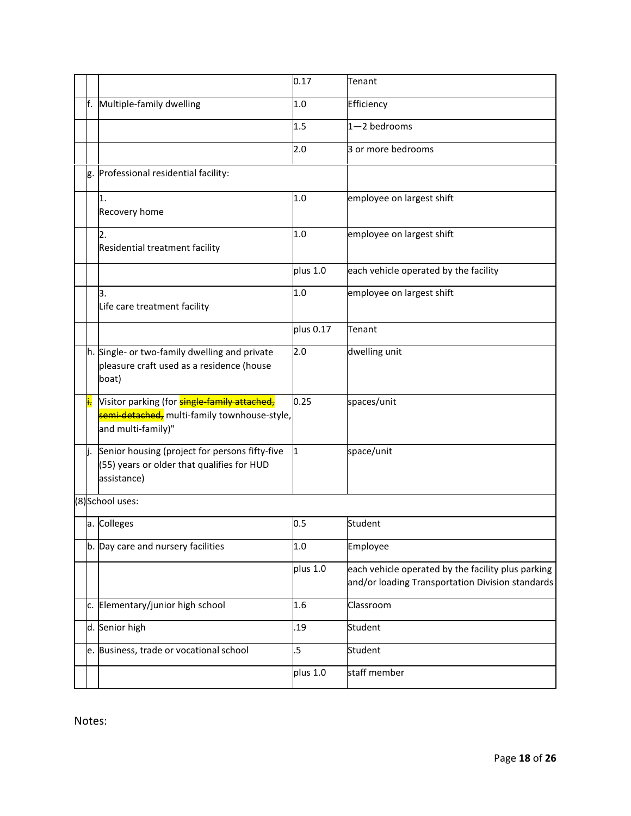|     |                                                                                                                           | 0.17      | Tenant                                                                                                 |
|-----|---------------------------------------------------------------------------------------------------------------------------|-----------|--------------------------------------------------------------------------------------------------------|
| F.  | Multiple-family dwelling                                                                                                  | 1.0       | Efficiency                                                                                             |
|     |                                                                                                                           | 1.5       | $1 - 2$ bedrooms                                                                                       |
|     |                                                                                                                           | 2.0       | 3 or more bedrooms                                                                                     |
| g.  | Professional residential facility:                                                                                        |           |                                                                                                        |
|     | 1.<br>Recovery home                                                                                                       | 1.0       | employee on largest shift                                                                              |
|     | 2.<br>Residential treatment facility                                                                                      | 1.0       | employee on largest shift                                                                              |
|     |                                                                                                                           | plus 1.0  | each vehicle operated by the facility                                                                  |
|     | З.<br>Life care treatment facility                                                                                        | 1.0       | employee on largest shift                                                                              |
|     |                                                                                                                           | plus 0.17 | Tenant                                                                                                 |
|     | h. Single- or two-family dwelling and private<br>pleasure craft used as a residence (house<br>boat)                       | 2.0       | dwelling unit                                                                                          |
| j.  | Visitor parking (for <b>single-family attached,</b><br>semi-detached, multi-family townhouse-style,<br>and multi-family)" | 0.25      | spaces/unit                                                                                            |
| li. | Senior housing (project for persons fifty-five<br>(55) years or older that qualifies for HUD<br>assistance)               | 1         | space/unit                                                                                             |
|     | (8) School uses:                                                                                                          |           |                                                                                                        |
|     | a. Colleges                                                                                                               | 0.5       | Student                                                                                                |
|     | b. Day care and nursery facilities                                                                                        | 1.0       | Employee                                                                                               |
|     |                                                                                                                           | plus 1.0  | each vehicle operated by the facility plus parking<br>and/or loading Transportation Division standards |
| c.  | Elementary/junior high school                                                                                             | 1.6       | Classroom                                                                                              |
|     | d. Senior high                                                                                                            | .19       | Student                                                                                                |
| e.  | Business, trade or vocational school                                                                                      | $.5\,$    | Student                                                                                                |
|     |                                                                                                                           | plus 1.0  | staff member                                                                                           |

Notes: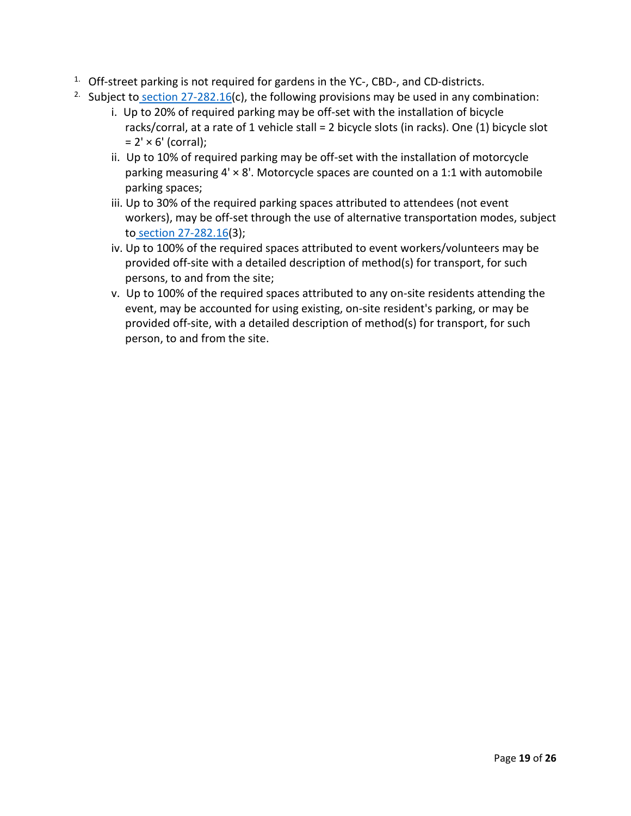- $1.$  Off-street parking is not required for gardens in the YC-, CBD-, and CD-districts.
- <sup>2.</sup> Subject to section  $27-282.16(c)$ , the following provisions may be used in any combination:
	- i. Up to 20% of required parking may be off-set with the installation of bicycle racks/corral, at a rate of 1 vehicle stall = 2 bicycle slots (in racks). One (1) bicycle slot  $= 2' \times 6'$  (corral);
	- ii. Up to 10% of required parking may be off-set with the installation of motorcycle parking measuring  $4' \times 8'$ . Motorcycle spaces are counted on a 1:1 with automobile parking spaces;
	- iii. Up to 30% of the required parking spaces attributed to attendees (not event workers), may be off-set through the use of alternative transportation modes, subject to [section 27-282.16\(](https://library.municode.com/fl/tampa/codes/code_of_ordinances?nodeId=COOR_CH27ZOLADE_ARTVISURE_DIV2RESPUS_S27-282.16TESPEV)3);
	- iv. Up to 100% of the required spaces attributed to event workers/volunteers may be provided off-site with a detailed description of method(s) for transport, for such persons, to and from the site;
	- v. Up to 100% of the required spaces attributed to any on-site residents attending the event, may be accounted for using existing, on-site resident's parking, or may be provided off-site, with a detailed description of method(s) for transport, for such person, to and from the site.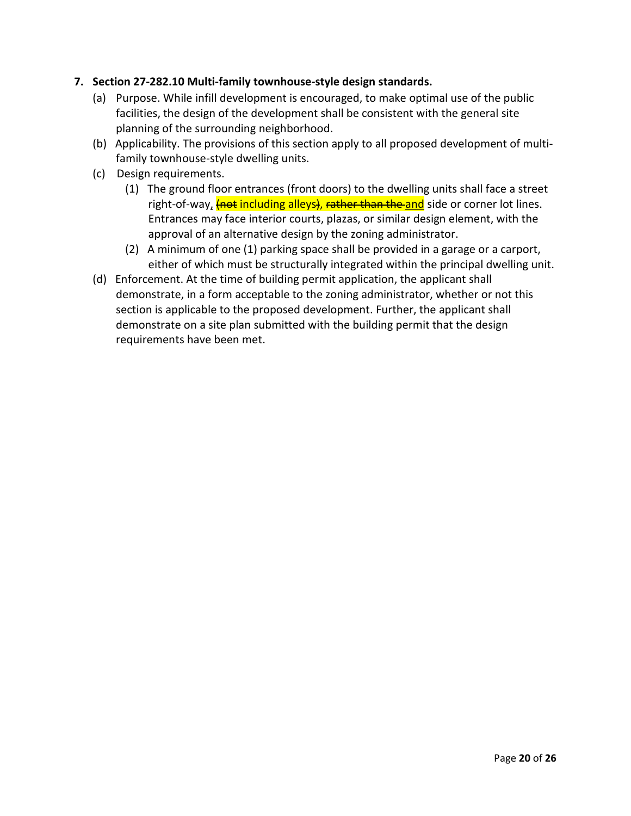## **7. Section 27-282.10 Multi-family townhouse-style design standards.**

- (a) Purpose. While infill development is encouraged, to make optimal use of the public facilities, the design of the development shall be consistent with the general site planning of the surrounding neighborhood.
- (b) Applicability. The provisions of this section apply to all proposed development of multifamily townhouse-style dwelling units.
- (c) Design requirements.
	- (1) The ground floor entrances (front doors) to the dwelling units shall face a street right-of-way, *(not including alleys), rather than the and* side or corner lot lines. Entrances may face interior courts, plazas, or similar design element, with the approval of an alternative design by the zoning administrator.
	- (2) A minimum of one (1) parking space shall be provided in a garage or a carport, either of which must be structurally integrated within the principal dwelling unit.
- (d) Enforcement. At the time of building permit application, the applicant shall demonstrate, in a form acceptable to the zoning administrator, whether or not this section is applicable to the proposed development. Further, the applicant shall demonstrate on a site plan submitted with the building permit that the design requirements have been met.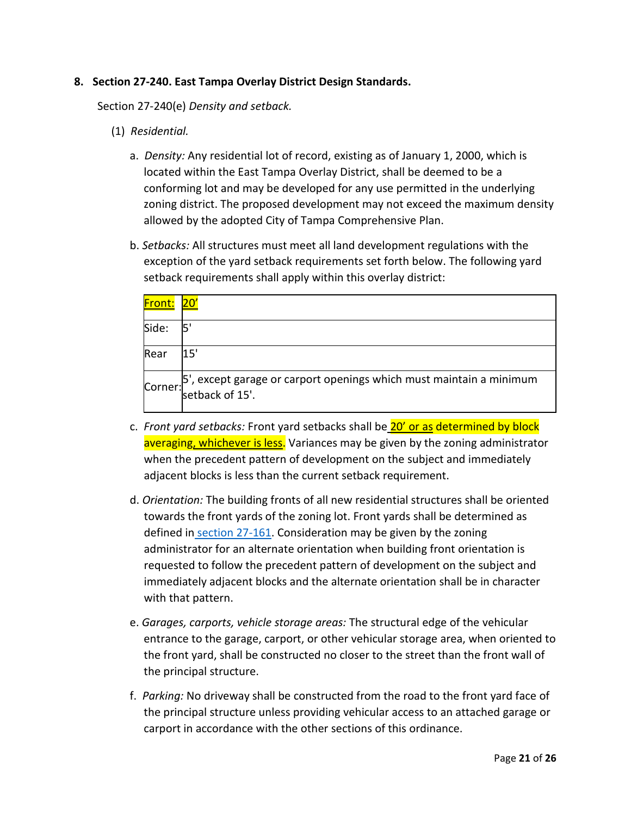### **8. Section 27-240. East Tampa Overlay District Design Standards.**

Section 27-240(e) *Density and setback.*

- (1) *Residential.*
	- a. *Density:* Any residential lot of record, existing as of January 1, 2000, which is located within the East Tampa Overlay District, shall be deemed to be a conforming lot and may be developed for any use permitted in the underlying zoning district. The proposed development may not exceed the maximum density allowed by the adopted City of Tampa Comprehensive Plan.
	- b. *Setbacks:* All structures must meet all land development regulations with the exception of the yard setback requirements set forth below. The following yard setback requirements shall apply within this overlay district:

| Front: | $20^{\circ}$                                                                                      |
|--------|---------------------------------------------------------------------------------------------------|
| Side:  |                                                                                                   |
| Rear   | 15'                                                                                               |
|        | 5', except garage or carport openings which must maintain a minimum<br>Corner:<br>setback of 15'. |

- c. *Front yard setbacks:* Front yard setbacks shall be 20' or as determined by block averaging, whichever is less. Variances may be given by the zoning administrator when the precedent pattern of development on the subject and immediately adjacent blocks is less than the current setback requirement.
- d. *Orientation:* The building fronts of all new residential structures shall be oriented towards the front yards of the zoning lot. Front yards shall be determined as defined in [section 27-161.](https://library.municode.com/fl/tampa/codes/code_of_ordinances?nodeId=COOR_CH27ZOLADE_ARTIIIESZODIDIRE_DIV1GEZODI_S27-161LOYAME) Consideration may be given by the zoning administrator for an alternate orientation when building front orientation is requested to follow the precedent pattern of development on the subject and immediately adjacent blocks and the alternate orientation shall be in character with that pattern.
- e. *Garages, carports, vehicle storage areas:* The structural edge of the vehicular entrance to the garage, carport, or other vehicular storage area, when oriented to the front yard, shall be constructed no closer to the street than the front wall of the principal structure.
- f. *Parking:* No driveway shall be constructed from the road to the front yard face of the principal structure unless providing vehicular access to an attached garage or carport in accordance with the other sections of this ordinance.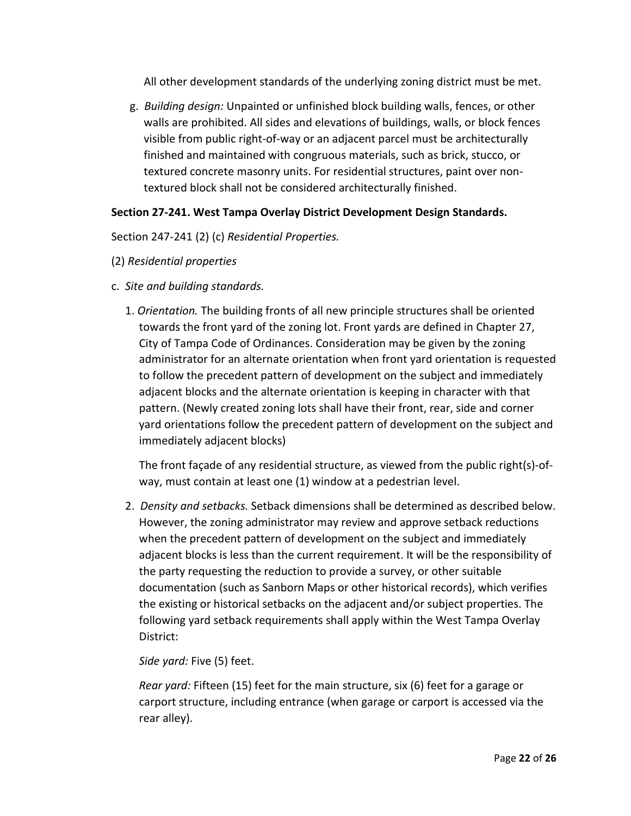All other development standards of the underlying zoning district must be met.

g. *Building design:* Unpainted or unfinished block building walls, fences, or other walls are prohibited. All sides and elevations of buildings, walls, or block fences visible from public right-of-way or an adjacent parcel must be architecturally finished and maintained with congruous materials, such as brick, stucco, or textured concrete masonry units. For residential structures, paint over nontextured block shall not be considered architecturally finished.

## **Section 27-241. West Tampa Overlay District Development Design Standards.**

Section 247-241 (2) (c) *Residential Properties.*

- (2) *Residential properties*
- c. *Site and building standards.*
	- 1. *Orientation.* The building fronts of all new principle structures shall be oriented towards the front yard of the zoning lot. Front yards are defined in Chapter 27, City of Tampa Code of Ordinances. Consideration may be given by the zoning administrator for an alternate orientation when front yard orientation is requested to follow the precedent pattern of development on the subject and immediately adjacent blocks and the alternate orientation is keeping in character with that pattern. (Newly created zoning lots shall have their front, rear, side and corner yard orientations follow the precedent pattern of development on the subject and immediately adjacent blocks)

The front façade of any residential structure, as viewed from the public right(s)-ofway, must contain at least one (1) window at a pedestrian level.

2. *Density and setbacks.* Setback dimensions shall be determined as described below. However, the zoning administrator may review and approve setback reductions when the precedent pattern of development on the subject and immediately adjacent blocks is less than the current requirement. It will be the responsibility of the party requesting the reduction to provide a survey, or other suitable documentation (such as Sanborn Maps or other historical records), which verifies the existing or historical setbacks on the adjacent and/or subject properties. The following yard setback requirements shall apply within the West Tampa Overlay District:

### *Side yard:* Five (5) feet.

*Rear yard:* Fifteen (15) feet for the main structure, six (6) feet for a garage or carport structure, including entrance (when garage or carport is accessed via the rear alley).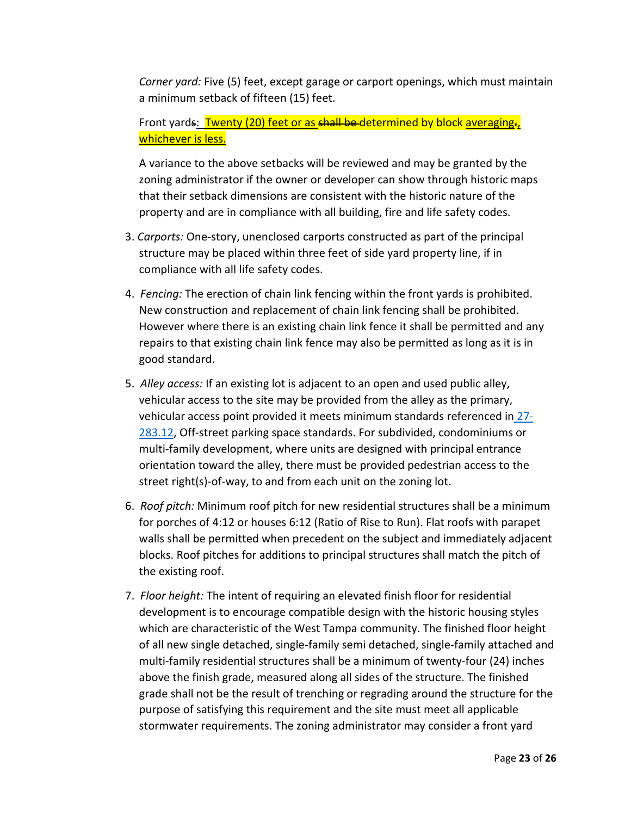*Corner yard:* Five (5) feet, except garage or carport openings, which must maintain a minimum setback of fifteen (15) feet.

# Front yards: Twenty (20) feet or as shall be determined by block averaging. whichever is less.

A variance to the above setbacks will be reviewed and may be granted by the zoning administrator if the owner or developer can show through historic maps that their setback dimensions are consistent with the historic nature of the property and are in compliance with all building, fire and life safety codes.

- 3. *Carports:* One-story, unenclosed carports constructed as part of the principal structure may be placed within three feet of side yard property line, if in compliance with all life safety codes.
- 4. *Fencing:* The erection of chain link fencing within the front yards is prohibited. New construction and replacement of chain link fencing shall be prohibited. However where there is an existing chain link fence it shall be permitted and any repairs to that existing chain link fence may also be permitted as long as it is in good standard.
- 5. *Alley access:* If an existing lot is adjacent to an open and used public alley, vehicular access to the site may be provided from the alley as the primary, vehicular access point provided it meets minimum standards referenced in [27-](https://library.municode.com/fl/tampa/codes/code_of_ordinances?nodeId=COOR_CH27ZOLADE_ARTVISURE_DIV3ACPALO_S27-283.12OREPASPST) [283.12,](https://library.municode.com/fl/tampa/codes/code_of_ordinances?nodeId=COOR_CH27ZOLADE_ARTVISURE_DIV3ACPALO_S27-283.12OREPASPST) Off-street parking space standards. For subdivided, condominiums or multi-family development, where units are designed with principal entrance orientation toward the alley, there must be provided pedestrian access to the street right(s)-of-way, to and from each unit on the zoning lot.
- 6. *Roof pitch:* Minimum roof pitch for new residential structures shall be a minimum for porches of 4:12 or houses 6:12 (Ratio of Rise to Run). Flat roofs with parapet walls shall be permitted when precedent on the subject and immediately adjacent blocks. Roof pitches for additions to principal structures shall match the pitch of the existing roof.
- 7. *Floor height:* The intent of requiring an elevated finish floor for residential development is to encourage compatible design with the historic housing styles which are characteristic of the West Tampa community. The finished floor height of all new single detached, single-family semi detached, single-family attached and multi-family residential structures shall be a minimum of twenty-four (24) inches above the finish grade, measured along all sides of the structure. The finished grade shall not be the result of trenching or regrading around the structure for the purpose of satisfying this requirement and the site must meet all applicable stormwater requirements. The zoning administrator may consider a front yard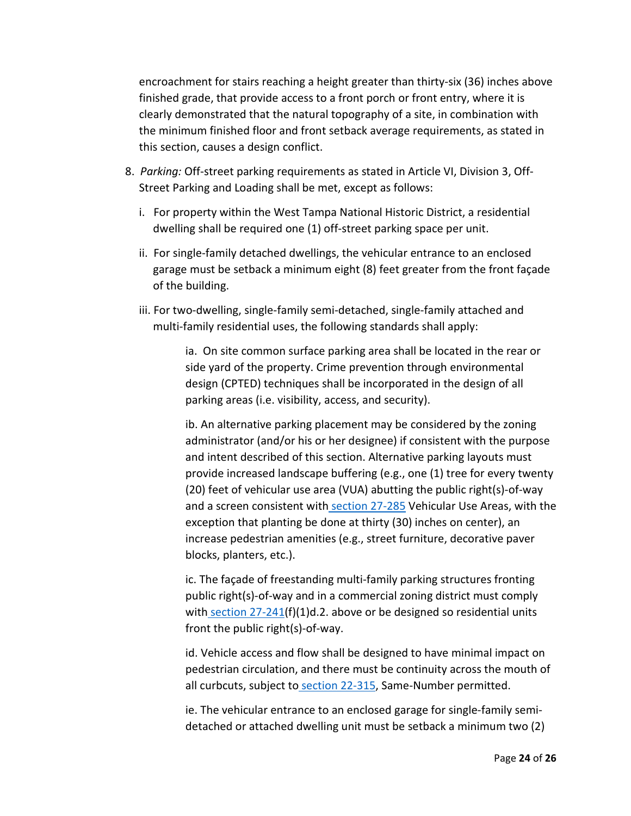encroachment for stairs reaching a height greater than thirty-six (36) inches above finished grade, that provide access to a front porch or front entry, where it is clearly demonstrated that the natural topography of a site, in combination with the minimum finished floor and front setback average requirements, as stated in this section, causes a design conflict.

- 8. *Parking:* Off-street parking requirements as stated in Article VI, Division 3, Off-Street Parking and Loading shall be met, except as follows:
	- i. For property within the West Tampa National Historic District, a residential dwelling shall be required one (1) off-street parking space per unit.
	- ii. For single-family detached dwellings, the vehicular entrance to an enclosed garage must be setback a minimum eight (8) feet greater from the front façade of the building.
	- iii. For two-dwelling, single-family semi-detached, single-family attached and multi-family residential uses, the following standards shall apply:

ia. On site common surface parking area shall be located in the rear or side yard of the property. Crime prevention through environmental design (CPTED) techniques shall be incorporated in the design of all parking areas (i.e. visibility, access, and security).

ib. An alternative parking placement may be considered by the zoning administrator (and/or his or her designee) if consistent with the purpose and intent described of this section. Alternative parking layouts must provide increased landscape buffering (e.g., one (1) tree for every twenty (20) feet of vehicular use area (VUA) abutting the public right(s)-of-way and a screen consistent with [section 27-285](https://library.municode.com/fl/tampa/codes/code_of_ordinances?nodeId=COOR_CH27ZOLADE_ARTVISURE_DIV4NARETRLAWEUPHA_SD4TRMIMEPRRE_S27-285RE) Vehicular Use Areas, with the exception that planting be done at thirty (30) inches on center), an increase pedestrian amenities (e.g., street furniture, decorative paver blocks, planters, etc.).

ic. The façade of freestanding multi-family parking structures fronting public right(s)-of-way and in a commercial zoning district must comply with [section 27-241\(](https://library.municode.com/fl/tampa/codes/code_of_ordinances?nodeId=COOR_CH27ZOLADE_ARTIVOVDI_DIV2SPOVDI_S27-241WETAOVDIDEDEST)f)(1)d.2. above or be designed so residential units front the public right(s)-of-way.

id. Vehicle access and flow shall be designed to have minimal impact on pedestrian circulation, and there must be continuity across the mouth of all curbcuts, subject to [section 22-315,](https://library.municode.com/fl/tampa/codes/code_of_ordinances?nodeId=COOR_CH22STSI_ARTIIITEPR_DIV3SPTERE_S22-315SAUMPE) Same-Number permitted.

ie. The vehicular entrance to an enclosed garage for single-family semidetached or attached dwelling unit must be setback a minimum two (2)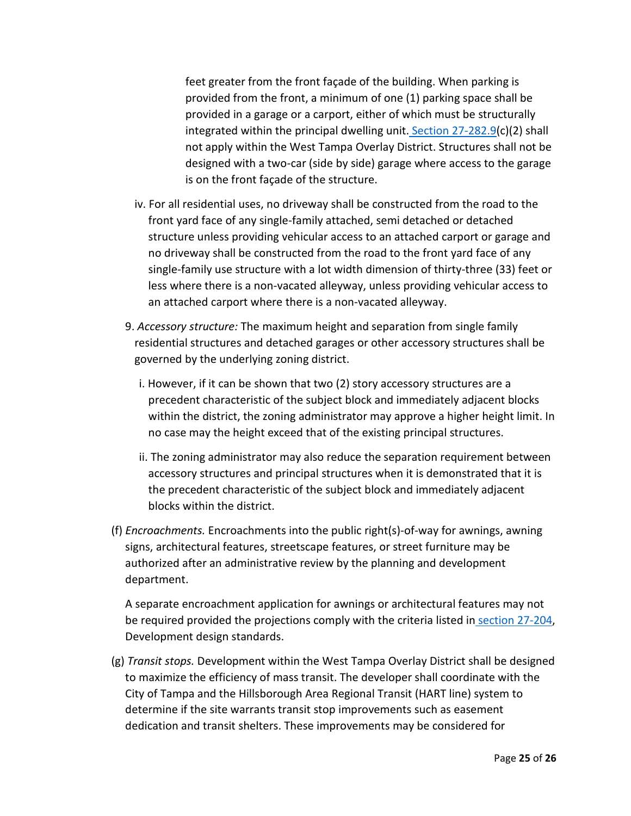feet greater from the front façade of the building. When parking is provided from the front, a minimum of one (1) parking space shall be provided in a garage or a carport, either of which must be structurally integrated within the principal dwelling unit. [Section 27-282.9\(](https://library.municode.com/fl/tampa/codes/code_of_ordinances?nodeId=COOR_CH27ZOLADE_ARTVISURE_DIV2RESPUS_S27-282.9SIMIATDEST)c)(2) shall not apply within the West Tampa Overlay District. Structures shall not be designed with a two-car (side by side) garage where access to the garage is on the front façade of the structure.

- iv. For all residential uses, no driveway shall be constructed from the road to the front yard face of any single-family attached, semi detached or detached structure unless providing vehicular access to an attached carport or garage and no driveway shall be constructed from the road to the front yard face of any single-family use structure with a lot width dimension of thirty-three (33) feet or less where there is a non-vacated alleyway, unless providing vehicular access to an attached carport where there is a non-vacated alleyway.
- 9. *Accessory structure:* The maximum height and separation from single family residential structures and detached garages or other accessory structures shall be governed by the underlying zoning district.
	- i. However, if it can be shown that two (2) story accessory structures are a precedent characteristic of the subject block and immediately adjacent blocks within the district, the zoning administrator may approve a higher height limit. In no case may the height exceed that of the existing principal structures.
	- ii. The zoning administrator may also reduce the separation requirement between accessory structures and principal structures when it is demonstrated that it is the precedent characteristic of the subject block and immediately adjacent blocks within the district.
- (f) *Encroachments.* Encroachments into the public right(s)-of-way for awnings, awning signs, architectural features, streetscape features, or street furniture may be authorized after an administrative review by the planning and development department.

A separate encroachment application for awnings or architectural features may not be required provided the projections comply with the criteria listed in [section 27-204,](https://library.municode.com/fl/tampa/codes/code_of_ordinances?nodeId=COOR_CH27ZOLADE_ARTIIIESZODIDIRE_DIV2SPDI_SD4CHDICDDI_S27-204DESIBUDEST) Development design standards.

(g) *Transit stops.* Development within the West Tampa Overlay District shall be designed to maximize the efficiency of mass transit. The developer shall coordinate with the City of Tampa and the Hillsborough Area Regional Transit (HART line) system to determine if the site warrants transit stop improvements such as easement dedication and transit shelters. These improvements may be considered for